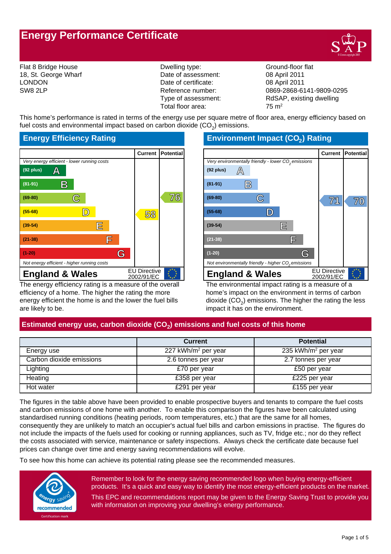# **Energy Performance Certificate**



Flat 8 Bridge House **State Accord Field Control** Dwelling type: Ground-floor flat

18, St. George Wharf **Date of assessment:** 08 April 2011 LONDON Date of certificate: 08 April 2011 Total floor area:  $75 \text{ m}^2$ 

SW8 2LP Reference number: 0869-2868-6141-9809-0295 Type of assessment: RdSAP, existing dwelling

This home's performance is rated in terms of the energy use per square metre of floor area, energy efficiency based on fuel costs and environmental impact based on carbon dioxide (CO<sub>2</sub>) emissions.

# **Energy Efficiency Rating**



The energy efficiency rating is a measure of the overall efficiency of a home. The higher the rating the more energy efficient the home is and the lower the fuel bills are likely to be.

# **Environment Impact (CO<sup>2</sup> ) Rating**



The environmental impact rating is a measure of a home's impact on the environment in terms of carbon dioxide (CO $_2$ ) emissions. The higher the rating the less impact it has on the environment.

# **Estimated energy use, carbon dioxide (CO<sup>2</sup> ) emissions and fuel costs of this home**

|                          | <b>Current</b>                  | <b>Potential</b>                |
|--------------------------|---------------------------------|---------------------------------|
| Energy use               | 227 kWh/m <sup>2</sup> per year | 235 kWh/m <sup>2</sup> per year |
| Carbon dioxide emissions | 2.6 tonnes per year             | 2.7 tonnes per year             |
| Lighting                 | £70 per year                    | £50 per year                    |
| Heating                  | £358 per year                   | £225 per year                   |
| Hot water                | £291 per year                   | £155 per year                   |

The figures in the table above have been provided to enable prospective buyers and tenants to compare the fuel costs and carbon emissions of one home with another. To enable this comparison the figures have been calculated using standardised running conditions (heating periods, room temperatures, etc.) that are the same for all homes, consequently they are unlikely to match an occupier's actual fuel bills and carbon emissions in practise. The figures do not include the impacts of the fuels used for cooking or running appliances, such as TV, fridge etc.; nor do they reflect the costs associated with service, maintenance or safety inspections. Always check the certificate date because fuel prices can change over time and energy saving recommendations will evolve.

To see how this home can achieve its potential rating please see the recommended measures.



Remember to look for the energy saving recommended logo when buying energy-efficient products. It's a quick and easy way to identify the most energy-efficient products on the market. This EPC and recommendations report may be given to the Energy Saving Trust to provide you

with information on improving your dwelling's energy performance.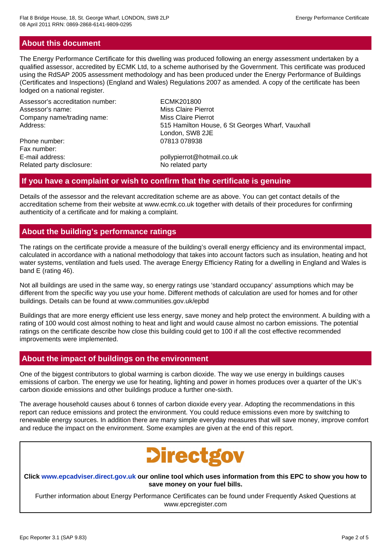# **About this document**

The Energy Performance Certificate for this dwelling was produced following an energy assessment undertaken by a qualified assessor, accredited by ECMK Ltd, to a scheme authorised by the Government. This certificate was produced using the RdSAP 2005 assessment methodology and has been produced under the Energy Performance of Buildings (Certificates and Inspections) (England and Wales) Regulations 2007 as amended. A copy of the certificate has been lodged on a national register.

Assessor's accreditation number: ECMK201800 Assessor's name: Miss Claire Pierrot Company name/trading name: Miss Claire Pierrot

Phone number: 07813 078938 Fax number: E-mail address: pollypierrot@hotmail.co.uk Related party disclosure: No related party

Address: The State of the State of the State of State of State and Address: Address: Address: Address: Address: Address: Address: Address: Address: Address: Address: Address: Address: Address: Address: Address: Address: Ad London, SW8 2JE

### **If you have a complaint or wish to confirm that the certificate is genuine**

Details of the assessor and the relevant accreditation scheme are as above. You can get contact details of the accreditation scheme from their website at www.ecmk.co.uk together with details of their procedures for confirming authenticity of a certificate and for making a complaint.

## **About the building's performance ratings**

The ratings on the certificate provide a measure of the building's overall energy efficiency and its environmental impact, calculated in accordance with a national methodology that takes into account factors such as insulation, heating and hot water systems, ventilation and fuels used. The average Energy Efficiency Rating for a dwelling in England and Wales is band E (rating 46).

Not all buildings are used in the same way, so energy ratings use 'standard occupancy' assumptions which may be different from the specific way you use your home. Different methods of calculation are used for homes and for other buildings. Details can be found at www.communities.gov.uk/epbd

Buildings that are more energy efficient use less energy, save money and help protect the environment. A building with a rating of 100 would cost almost nothing to heat and light and would cause almost no carbon emissions. The potential ratings on the certificate describe how close this building could get to 100 if all the cost effective recommended improvements were implemented.

# **About the impact of buildings on the environment**

One of the biggest contributors to global warming is carbon dioxide. The way we use energy in buildings causes emissions of carbon. The energy we use for heating, lighting and power in homes produces over a quarter of the UK's carbon dioxide emissions and other buildings produce a further one-sixth.

The average household causes about 6 tonnes of carbon dioxide every year. Adopting the recommendations in this report can reduce emissions and protect the environment. You could reduce emissions even more by switching to renewable energy sources. In addition there are many simple everyday measures that will save money, improve comfort and reduce the impact on the environment. Some examples are given at the end of this report.



#### **Click www.epcadviser.direct.gov.uk our online tool which uses information from this EPC to show you how to save money on your fuel bills.**

Further information about Energy Performance Certificates can be found under Frequently Asked Questions at www.epcregister.com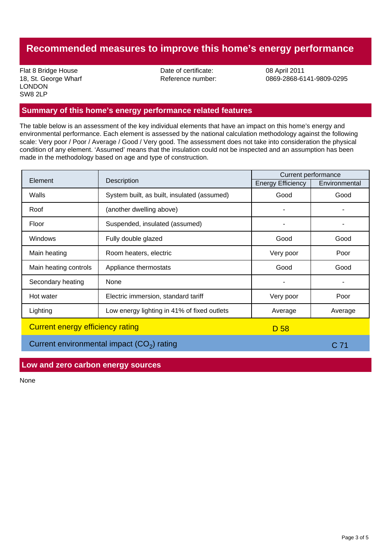# **Recommended measures to improve this home's energy performance**

Flat 8 Bridge House **Date of certificate:** 08 April 2011 LONDON SW8 2LP

18, St. George Wharf Reference number: 0869-2868-6141-9809-0295

### **Summary of this home's energy performance related features**

The table below is an assessment of the key individual elements that have an impact on this home's energy and environmental performance. Each element is assessed by the national calculation methodology against the following scale: Very poor / Poor / Average / Good / Very good. The assessment does not take into consideration the physical condition of any element. 'Assumed' means that the insulation could not be inspected and an assumption has been made in the methodology based on age and type of construction.

|                                                 |                                             | <b>Current performance</b> |               |
|-------------------------------------------------|---------------------------------------------|----------------------------|---------------|
|                                                 | Description<br>Element                      |                            | Environmental |
| Walls                                           | System built, as built, insulated (assumed) | Good                       | Good          |
| Roof                                            | (another dwelling above)                    |                            |               |
| Floor                                           | Suspended, insulated (assumed)              | ۰                          |               |
| <b>Windows</b>                                  | Fully double glazed                         | Good                       | Good          |
| Main heating                                    | Room heaters, electric                      | Very poor                  | Poor          |
| Main heating controls                           | Appliance thermostats                       | Good                       | Good          |
| Secondary heating                               | None                                        |                            |               |
| Hot water                                       | Electric immersion, standard tariff         | Very poor                  | Poor          |
| Lighting                                        | Low energy lighting in 41% of fixed outlets | Average                    | Average       |
| <b>Current energy efficiency rating</b><br>D 58 |                                             |                            |               |

Current environmental impact  $(CO_2)$  rating  $C$  71

### **Low and zero carbon energy sources**

None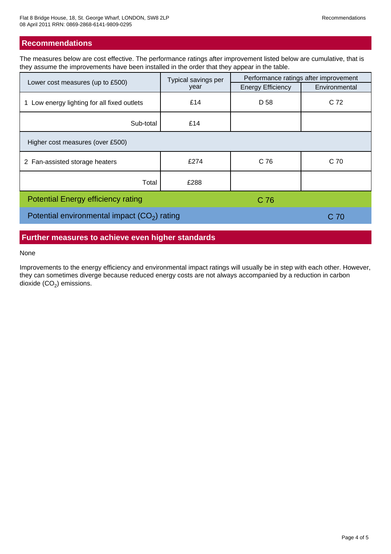### **Recommendations**

The measures below are cost effective. The performance ratings after improvement listed below are cumulative, that is they assume the improvements have been installed in the order that they appear in the table.

|                                                 | Typical savings per<br>year | Performance ratings after improvement |               |  |  |
|-------------------------------------------------|-----------------------------|---------------------------------------|---------------|--|--|
| Lower cost measures (up to £500)                |                             | <b>Energy Efficiency</b>              | Environmental |  |  |
| Low energy lighting for all fixed outlets<br>1. | £14                         | D 58                                  | C 72          |  |  |
| Sub-total                                       | £14                         |                                       |               |  |  |
| Higher cost measures (over £500)                |                             |                                       |               |  |  |
| 2 Fan-assisted storage heaters                  | £274                        | C <sub>76</sub>                       | C 70          |  |  |
| Total                                           | £288                        |                                       |               |  |  |
| <b>Potential Energy efficiency rating</b>       | C 76                        |                                       |               |  |  |
| Potential environmental impact $(CO2)$ rating   | C 70                        |                                       |               |  |  |

### **Further measures to achieve even higher standards**

#### None

Improvements to the energy efficiency and environmental impact ratings will usually be in step with each other. However, they can sometimes diverge because reduced energy costs are not always accompanied by a reduction in carbon dioxide (CO $_{\rm 2}$ ) emissions.